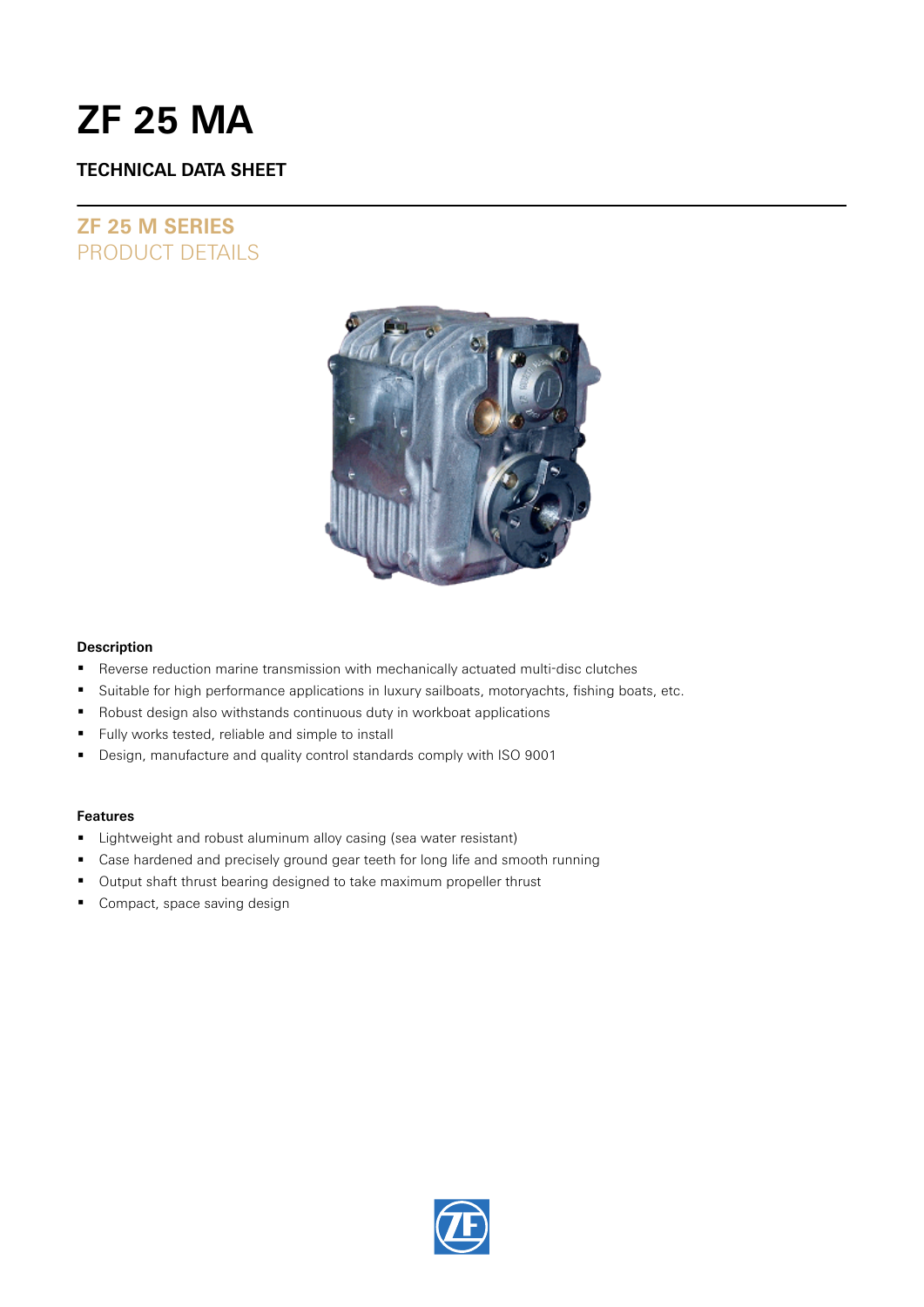# **ZF 25 MA**

### **TECHNICAL DATA SHEET**

## **ZF 25 M SERIES** PRODUCT DETAILS



### **Description**

- Reverse reduction marine transmission with mechanically actuated multi-disc clutches
- **Suitable for high performance applications in luxury sailboats, motoryachts, fishing boats, etc.**
- Robust design also withstands continuous duty in workboat applications
- **Fully works tested, reliable and simple to install**
- Design, manufacture and quality control standards comply with ISO 9001

### **Features**

- **E** Lightweight and robust aluminum alloy casing (sea water resistant)
- Case hardened and precisely ground gear teeth for long life and smooth running
- **Output shaft thrust bearing designed to take maximum propeller thrust**
- **Compact, space saving design**

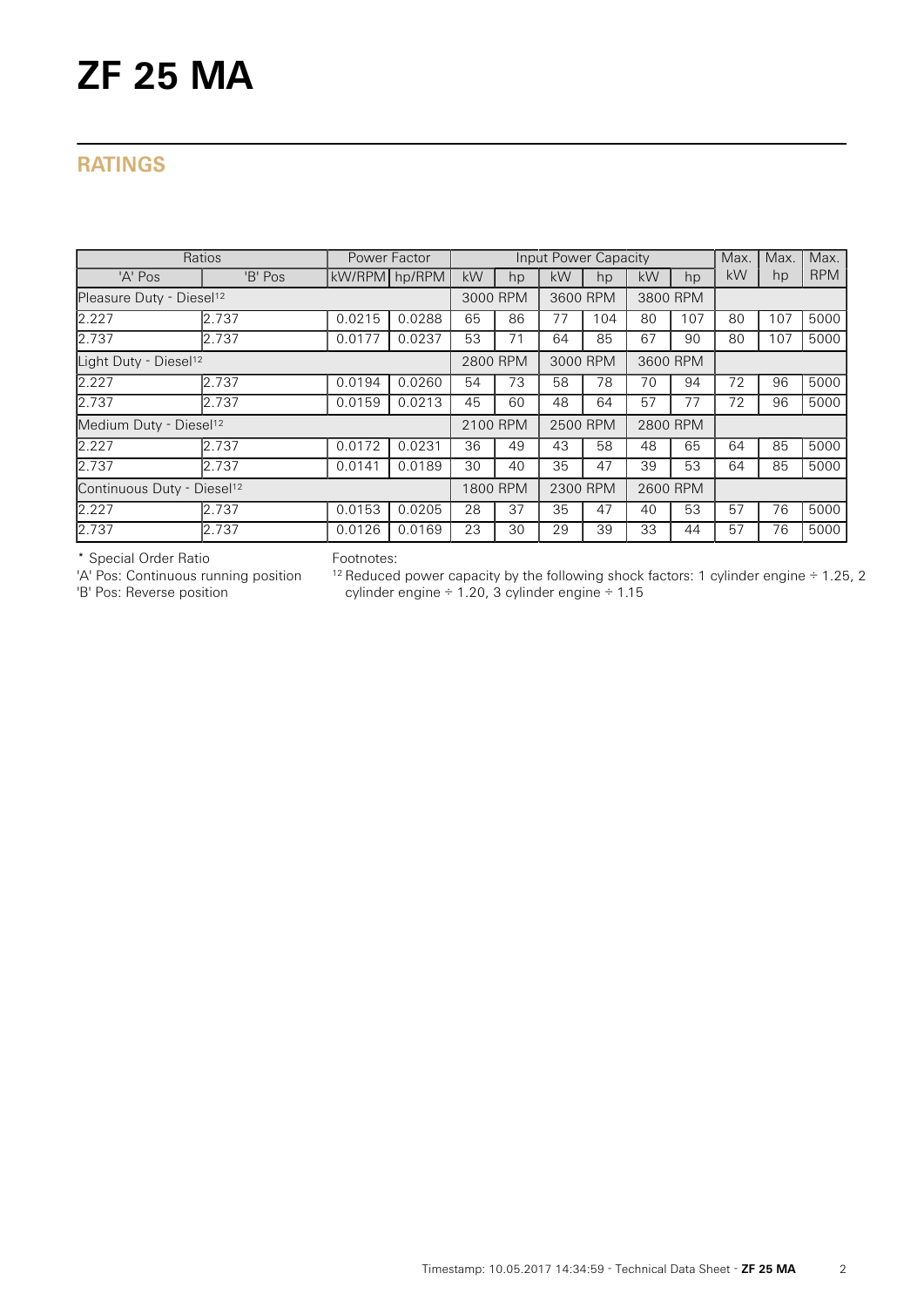# **ZF 25 MA**

## **RATINGS**

| Ratios                                 | Power Factor |               | Input Power Capacity |          |    |          |     |          | Max. | Max. | Max. |            |
|----------------------------------------|--------------|---------------|----------------------|----------|----|----------|-----|----------|------|------|------|------------|
| 'A' Pos                                | 'B' Pos      | kW/RPM hp/RPM |                      | kW       | hp | kW       | hp  | kW       | hp   | kW   | hp   | <b>RPM</b> |
| Pleasure Duty - Diesel <sup>12</sup>   |              |               |                      | 3000 RPM |    | 3600 RPM |     | 3800 RPM |      |      |      |            |
| 2.227                                  | 2.737        | 0.0215        | 0.0288               | 65       | 86 | 77       | 104 | 80       | 107  | 80   | 107  | 5000       |
| 2.737                                  | 2.737        | 0.0177        | 0.0237               | 53       | 71 | 64       | 85  | 67       | 90   | 80   | 107  | 5000       |
| Light Duty - Diesel <sup>12</sup>      |              |               |                      | 2800 RPM |    | 3000 RPM |     | 3600 RPM |      |      |      |            |
| 2.227                                  | 2.737        | 0.0194        | 0.0260               | 54       | 73 | 58       | 78  | 70       | 94   | 72   | 96   | 5000       |
| 2.737                                  | 2.737        | 0.0159        | 0.0213               | 45       | 60 | 48       | 64  | 57       | 77   | 72   | 96   | 5000       |
| Medium Duty - Diesel <sup>12</sup>     |              |               |                      | 2100 RPM |    | 2500 RPM |     | 2800 RPM |      |      |      |            |
| 2.227                                  | 2.737        | 0.0172        | 0.0231               | 36       | 49 | 43       | 58  | 48       | 65   | 64   | 85   | 5000       |
| 2.737                                  | 2.737        | 0.0141        | 0.0189               | 30       | 40 | 35       | 47  | 39       | 53   | 64   | 85   | 5000       |
| Continuous Duty - Diesel <sup>12</sup> |              |               |                      | 1800 RPM |    | 2300 RPM |     | 2600 RPM |      |      |      |            |
| 2.227                                  | 2.737        | 0.0153        | 0.0205               | 28       | 37 | 35       | 47  | 40       | 53   | 57   | 76   | 5000       |
| 2.737                                  | 2.737        | 0.0126        | 0.0169               | 23       | 30 | 29       | 39  | 33       | 44   | 57   | 76   | 5000       |

\* Special Order Ratio

'A' Pos: Continuous running position

'B' Pos: Reverse position

Footnotes:

 $12$  Reduced power capacity by the following shock factors: 1 cylinder engine  $\div$  1.25, 2 cylinder engine ÷ 1.20, 3 cylinder engine ÷ 1.15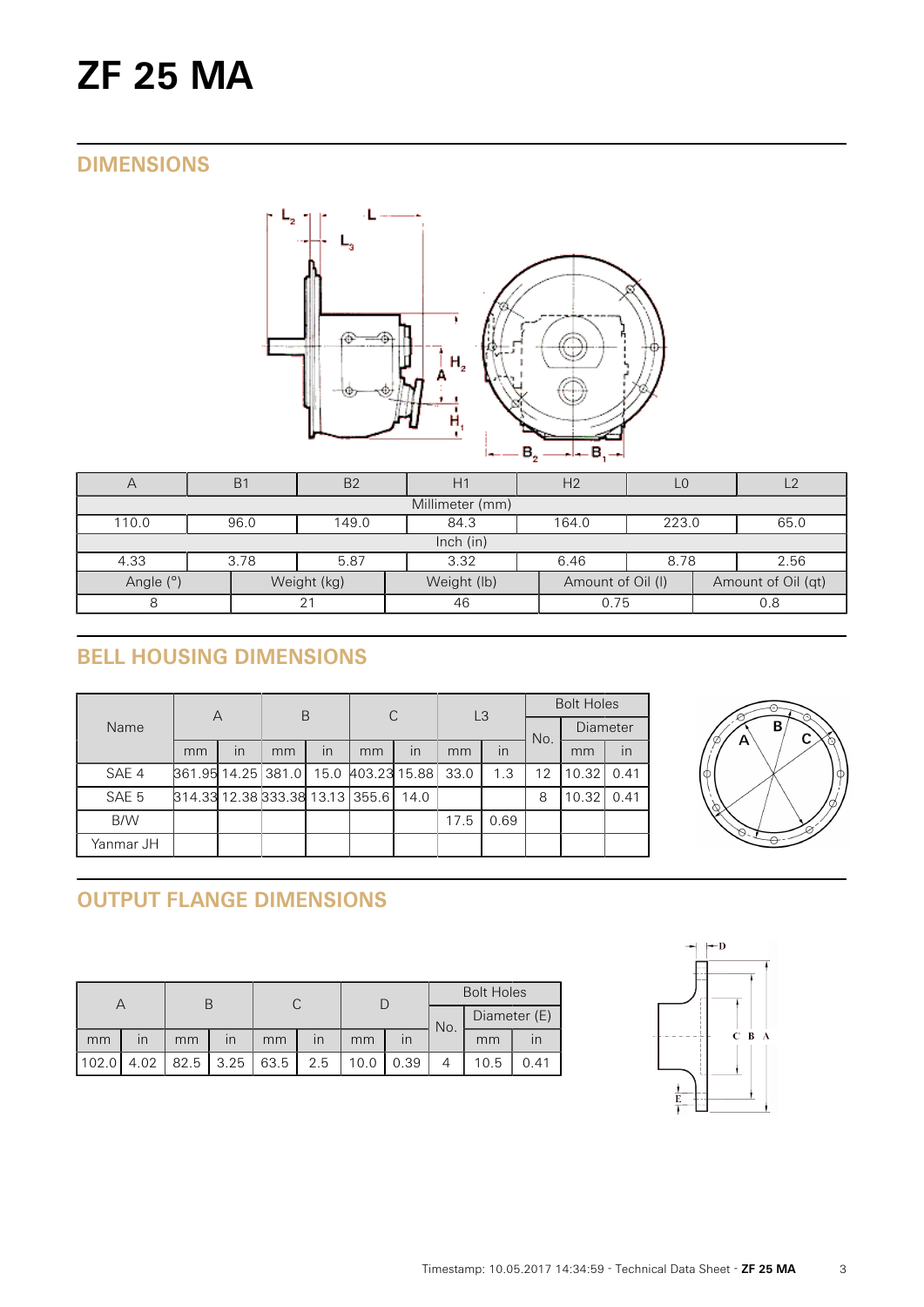# **ZF 25 MA**

## **DIMENSIONS**



| $\mapsto$       | B <sub>1</sub> | <b>B2</b>                               | H1          | H <sub>2</sub>    | L <sub>0</sub> |  |                    |  |  |  |  |
|-----------------|----------------|-----------------------------------------|-------------|-------------------|----------------|--|--------------------|--|--|--|--|
| Millimeter (mm) |                |                                         |             |                   |                |  |                    |  |  |  |  |
| 110.0           | 96.0           | 149.0<br>84.3<br>164.0<br>223.0<br>65.0 |             |                   |                |  |                    |  |  |  |  |
|                 | Inch $(in)$    |                                         |             |                   |                |  |                    |  |  |  |  |
| 4.33            | 3.78           | 3.32<br>6.46<br>5.87<br>8.78<br>2.56    |             |                   |                |  |                    |  |  |  |  |
| Angle (°)       |                | Weight (kg)                             | Weight (lb) | Amount of Oil (I) |                |  | Amount of Oil (qt) |  |  |  |  |
| 21              |                |                                         | 46          | 0.75              |                |  | 0.8                |  |  |  |  |

# **BELL HOUSING DIMENSIONS**

| Name      | А                                    |    | B  |    | C  |      | L <sub>3</sub> |      | <b>Bolt Holes</b> |                 |      |
|-----------|--------------------------------------|----|----|----|----|------|----------------|------|-------------------|-----------------|------|
|           |                                      |    |    |    |    |      |                |      | No.               | <b>Diameter</b> |      |
|           | mm                                   | in | mm | in | mm | in   | mm             | in   |                   | mm              | in   |
| SAE 4     | 861.95 14.25 381.0 15.0 403.23 15.88 |    |    |    |    |      | 33.0           | 1.3  | 12                | 10.32           | 0.41 |
| SAE 5     | 814.33 12.38 333.38 13.13 355.6      |    |    |    |    | 14.0 |                |      | 8                 | 10.32           | 0.41 |
| B/W       |                                      |    |    |    |    |      | 17.5           | 0.69 |                   |                 |      |
| Yanmar JH |                                      |    |    |    |    |      |                |      |                   |                 |      |



# **OUTPUT FLANGE DIMENSIONS**

|       |      |      |                         |      |                         |      |      | <b>Bolt Holes</b> |              |      |  |
|-------|------|------|-------------------------|------|-------------------------|------|------|-------------------|--------------|------|--|
|       |      |      |                         |      |                         |      |      | No.               | Diameter (E) |      |  |
| mm    | ın   | mm   | $\overline{\mathsf{I}}$ | mm   | $\overline{\mathsf{I}}$ | mm   |      |                   | mm           |      |  |
| 102.0 | 4.02 | 82.5 | 3.25                    | 63.5 | 2.5                     | 10.0 | 0.39 |                   | 10.5         | 0.41 |  |